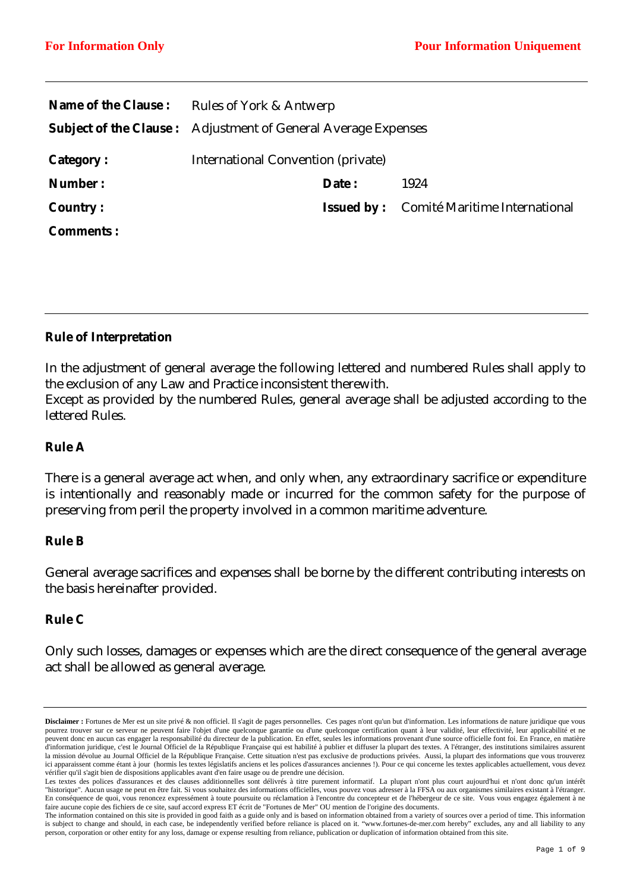|                  | <b>Name of the Clause:</b> Rules of York & Antwerp                   |                                                 |
|------------------|----------------------------------------------------------------------|-------------------------------------------------|
|                  | <b>Subject of the Clause:</b> Adjustment of General Average Expenses |                                                 |
| <b>Category:</b> | <b>International Convention (private)</b>                            |                                                 |
| Number:          | Date :                                                               | 1924                                            |
| <b>Country:</b>  |                                                                      | <b>Issued by:</b> Comité Maritime International |
| <b>Comments:</b> |                                                                      |                                                 |

#### **Rule of Interpretation**

In the adjustment of general average the following lettered and numbered Rules shall apply to the exclusion of any Law and Practice inconsistent therewith.

Except as provided by the numbered Rules, general average shall be adjusted according to the lettered Rules.

### **Rule A**

There is a general average act when, and only when, any extraordinary sacrifice or expenditure is intentionally and reasonably made or incurred for the common safety for the purpose of preserving from peril the property involved in a common maritime adventure.

#### **Rule B**

General average sacrifices and expenses shall be borne by the different contributing interests on the basis hereinafter provided.

#### **Rule C**

Only such losses, damages or expenses which are the direct consequence of the general average act shall be allowed as general average.

**Disclaimer :** Fortunes de Mer est un site privé & non officiel. Il s'agit de pages personnelles. Ces pages n'ont qu'un but d'information. Les informations de nature juridique que vous pourrez trouver sur ce serveur ne peuvent faire l'objet d'une quelconque garantie ou d'une quelconque certification quant à leur validité, leur effectivité, leur applicabilité et ne peuvent donc en aucun cas engager la responsabilité du directeur de la publication. En effet, seules les informations provenant d'une source officielle font foi. En France, en matière d'information juridique, c'est le Journal Officiel de la République Française qui est habilité à publier et diffuser la plupart des textes. A l'étranger, des institutions similaires assurent la mission dévolue au Journal Officiel de la République Française. Cette situation n'est pas exclusive de productions privées. Aussi, la plupart des informations que vous trouverez ici apparaissent comme étant à jour (hormis les textes législatifs anciens et les polices d'assurances anciennes !). Pour ce qui concerne les textes applicables actuellement, vous devez vérifier qu'il s'agit bien de dispositions applicables avant d'en faire usage ou de prendre une décision.

Les textes des polices d'assurances et des clauses additionnelles sont délivrés à titre purement informatif. La plupart n'ont plus court aujourd'hui et n'ont donc qu'un intérêt "historique". Aucun usage ne peut en être fait. Si vous souhaitez des informations officielles, vous pouvez vous adresser à la FFSA ou aux organismes similaires existant à l'étranger. En conséquence de quoi, vous renoncez expressément à toute poursuite ou réclamation à l'encontre du concepteur et de l'hébergeur de ce site. Vous vous engagez également à ne faire aucune copie des fichiers de ce site, sauf accord express ET écrit de "Fortunes de Mer" OU mention de l'origine des documents.

The information contained on this site is provided in good faith as a guide only and is based on information obtained from a variety of sources over a period of time. This information is subject to change and should, in each case, be independently verified before reliance is placed on it. "www.fortunes-de-mer.com hereby" excludes, any and all liability to any person, corporation or other entity for any loss, damage or expense resulting from reliance, publication or duplication of information obtained from this site.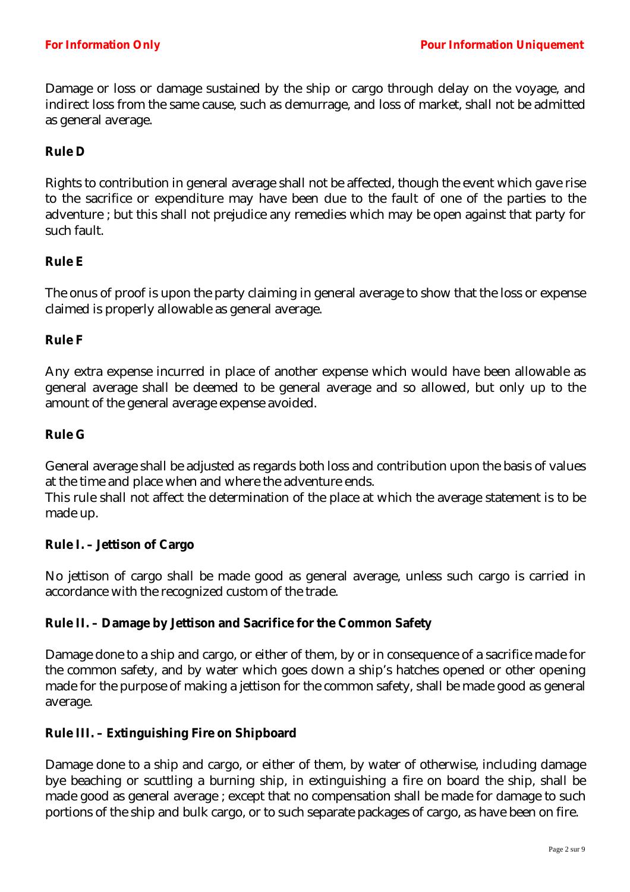Damage or loss or damage sustained by the ship or cargo through delay on the voyage, and indirect loss from the same cause, such as demurrage, and loss of market, shall not be admitted as general average.

# **Rule D**

Rights to contribution in general average shall not be affected, though the event which gave rise to the sacrifice or expenditure may have been due to the fault of one of the parties to the adventure ; but this shall not prejudice any remedies which may be open against that party for such fault.

## **Rule E**

The onus of proof is upon the party claiming in general average to show that the loss or expense claimed is properly allowable as general average.

### **Rule F**

Any extra expense incurred in place of another expense which would have been allowable as general average shall be deemed to be general average and so allowed, but only up to the amount of the general average expense avoided.

## **Rule G**

General average shall be adjusted as regards both loss and contribution upon the basis of values at the time and place when and where the adventure ends.

This rule shall not affect the determination of the place at which the average statement is to be made up.

### **Rule I. – Jettison of Cargo**

No jettison of cargo shall be made good as general average, unless such cargo is carried in accordance with the recognized custom of the trade.

### **Rule II. – Damage by Jettison and Sacrifice for the Common Safety**

Damage done to a ship and cargo, or either of them, by or in consequence of a sacrifice made for the common safety, and by water which goes down a ship's hatches opened or other opening made for the purpose of making a jettison for the common safety, shall be made good as general average.

### **Rule III. – Extinguishing Fire on Shipboard**

Damage done to a ship and cargo, or either of them, by water of otherwise, including damage bye beaching or scuttling a burning ship, in extinguishing a fire on board the ship, shall be made good as general average ; except that no compensation shall be made for damage to such portions of the ship and bulk cargo, or to such separate packages of cargo, as have been on fire.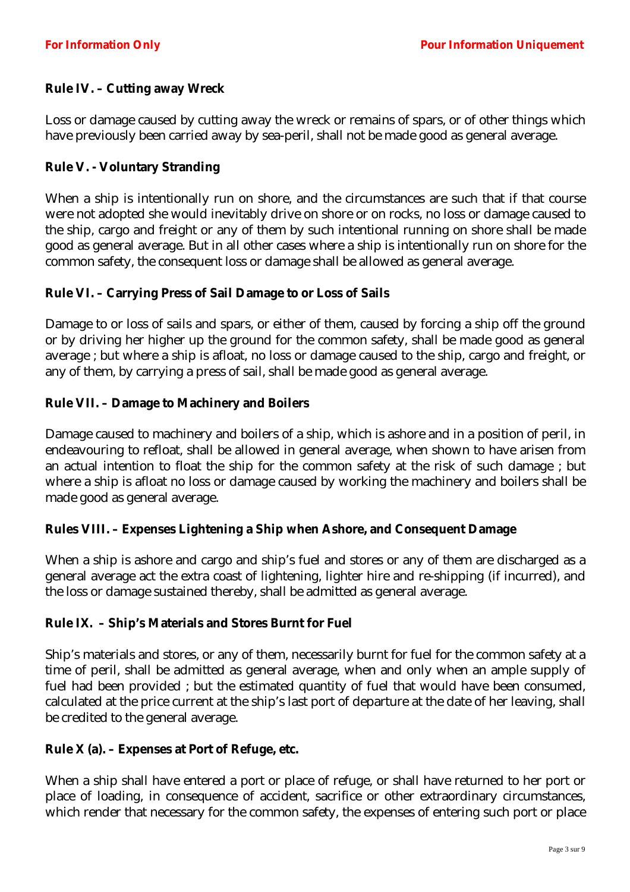## **Rule IV. – Cutting away Wreck**

Loss or damage caused by cutting away the wreck or remains of spars, or of other things which have previously been carried away by sea-peril, shall not be made good as general average.

### **Rule V. - Voluntary Stranding**

When a ship is intentionally run on shore, and the circumstances are such that if that course were not adopted she would inevitably drive on shore or on rocks, no loss or damage caused to the ship, cargo and freight or any of them by such intentional running on shore shall be made good as general average. But in all other cases where a ship is intentionally run on shore for the common safety, the consequent loss or damage shall be allowed as general average.

## **Rule VI. – Carrying Press of Sail Damage to or Loss of Sails**

Damage to or loss of sails and spars, or either of them, caused by forcing a ship off the ground or by driving her higher up the ground for the common safety, shall be made good as general average ; but where a ship is afloat, no loss or damage caused to the ship, cargo and freight, or any of them, by carrying a press of sail, shall be made good as general average.

## **Rule VII. – Damage to Machinery and Boilers**

Damage caused to machinery and boilers of a ship, which is ashore and in a position of peril, in endeavouring to refloat, shall be allowed in general average, when shown to have arisen from an actual intention to float the ship for the common safety at the risk of such damage ; but where a ship is afloat no loss or damage caused by working the machinery and boilers shall be made good as general average.

### **Rules VIII. – Expenses Lightening a Ship when Ashore, and Consequent Damage**

When a ship is ashore and cargo and ship's fuel and stores or any of them are discharged as a general average act the extra coast of lightening, lighter hire and re-shipping (if incurred), and the loss or damage sustained thereby, shall be admitted as general average.

### **Rule IX. – Ship's Materials and Stores Burnt for Fuel**

Ship's materials and stores, or any of them, necessarily burnt for fuel for the common safety at a time of peril, shall be admitted as general average, when and only when an ample supply of fuel had been provided ; but the estimated quantity of fuel that would have been consumed, calculated at the price current at the ship's last port of departure at the date of her leaving, shall be credited to the general average.

### **Rule X (a). – Expenses at Port of Refuge, etc.**

When a ship shall have entered a port or place of refuge, or shall have returned to her port or place of loading, in consequence of accident, sacrifice or other extraordinary circumstances, which render that necessary for the common safety, the expenses of entering such port or place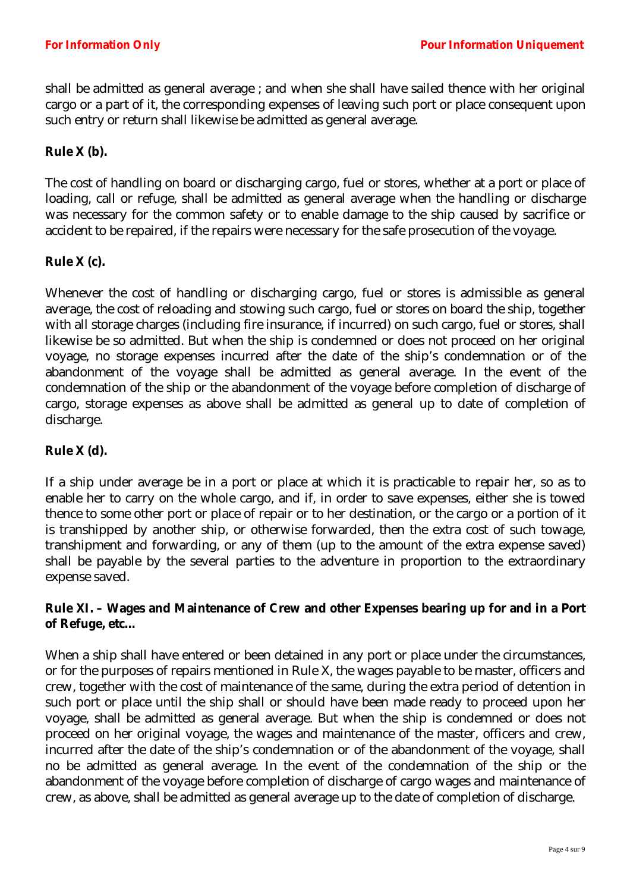shall be admitted as general average ; and when she shall have sailed thence with her original cargo or a part of it, the corresponding expenses of leaving such port or place consequent upon such entry or return shall likewise be admitted as general average.

# **Rule X (b).**

The cost of handling on board or discharging cargo, fuel or stores, whether at a port or place of loading, call or refuge, shall be admitted as general average when the handling or discharge was necessary for the common safety or to enable damage to the ship caused by sacrifice or accident to be repaired, if the repairs were necessary for the safe prosecution of the voyage.

## **Rule X (c).**

Whenever the cost of handling or discharging cargo, fuel or stores is admissible as general average, the cost of reloading and stowing such cargo, fuel or stores on board the ship, together with all storage charges (including fire insurance, if incurred) on such cargo, fuel or stores, shall likewise be so admitted. But when the ship is condemned or does not proceed on her original voyage, no storage expenses incurred after the date of the ship's condemnation or of the abandonment of the voyage shall be admitted as general average. In the event of the condemnation of the ship or the abandonment of the voyage before completion of discharge of cargo, storage expenses as above shall be admitted as general up to date of completion of discharge.

## **Rule X (d).**

If a ship under average be in a port or place at which it is practicable to repair her, so as to enable her to carry on the whole cargo, and if, in order to save expenses, either she is towed thence to some other port or place of repair or to her destination, or the cargo or a portion of it is transhipped by another ship, or otherwise forwarded, then the extra cost of such towage, transhipment and forwarding, or any of them (up to the amount of the extra expense saved) shall be payable by the several parties to the adventure in proportion to the extraordinary expense saved.

## **Rule XI. – Wages and Maintenance of Crew and other Expenses bearing up for and in a Port of Refuge, etc…**

When a ship shall have entered or been detained in any port or place under the circumstances, or for the purposes of repairs mentioned in Rule X, the wages payable to be master, officers and crew, together with the cost of maintenance of the same, during the extra period of detention in such port or place until the ship shall or should have been made ready to proceed upon her voyage, shall be admitted as general average. But when the ship is condemned or does not proceed on her original voyage, the wages and maintenance of the master, officers and crew, incurred after the date of the ship's condemnation or of the abandonment of the voyage, shall no be admitted as general average. In the event of the condemnation of the ship or the abandonment of the voyage before completion of discharge of cargo wages and maintenance of crew, as above, shall be admitted as general average up to the date of completion of discharge.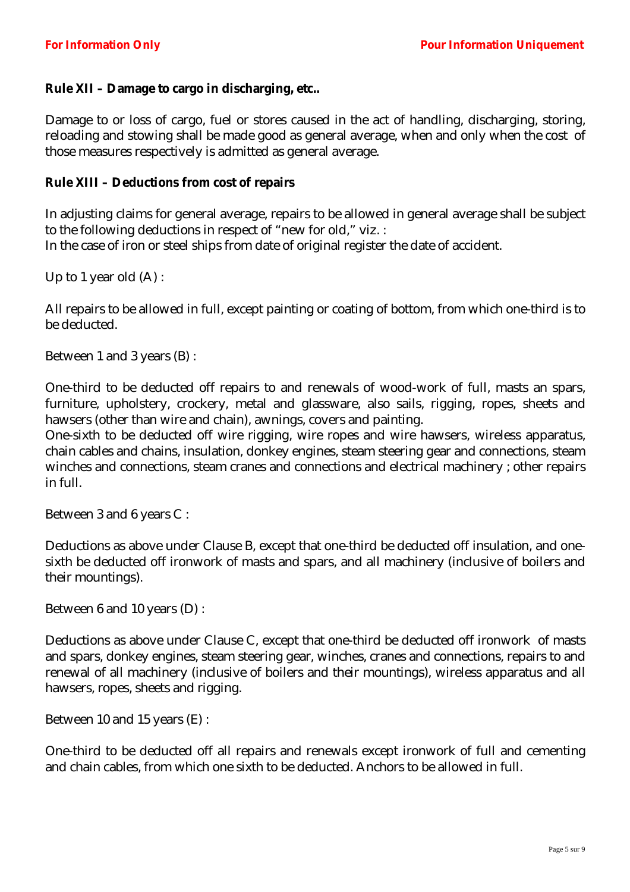### **Rule XII – Damage to cargo in discharging, etc..**

Damage to or loss of cargo, fuel or stores caused in the act of handling, discharging, storing, reloading and stowing shall be made good as general average, when and only when the cost of those measures respectively is admitted as general average.

#### **Rule XIII – Deductions from cost of repairs**

In adjusting claims for general average, repairs to be allowed in general average shall be subject to the following deductions in respect of "new for old," viz. : In the case of iron or steel ships from date of original register the date of accident.

Up to 1 year old (A) :

All repairs to be allowed in full, except painting or coating of bottom, from which one-third is to be deducted.

Between 1 and 3 years (B) :

One-third to be deducted off repairs to and renewals of wood-work of full, masts an spars, furniture, upholstery, crockery, metal and glassware, also sails, rigging, ropes, sheets and hawsers (other than wire and chain), awnings, covers and painting.

One-sixth to be deducted off wire rigging, wire ropes and wire hawsers, wireless apparatus, chain cables and chains, insulation, donkey engines, steam steering gear and connections, steam winches and connections, steam cranes and connections and electrical machinery ; other repairs in full.

Between 3 and 6 years C :

Deductions as above under Clause B, except that one-third be deducted off insulation, and onesixth be deducted off ironwork of masts and spars, and all machinery (inclusive of boilers and their mountings).

Between 6 and 10 years (D) :

Deductions as above under Clause C, except that one-third be deducted off ironwork of masts and spars, donkey engines, steam steering gear, winches, cranes and connections, repairs to and renewal of all machinery (inclusive of boilers and their mountings), wireless apparatus and all hawsers, ropes, sheets and rigging.

Between 10 and 15 years (E) :

One-third to be deducted off all repairs and renewals except ironwork of full and cementing and chain cables, from which one sixth to be deducted. Anchors to be allowed in full.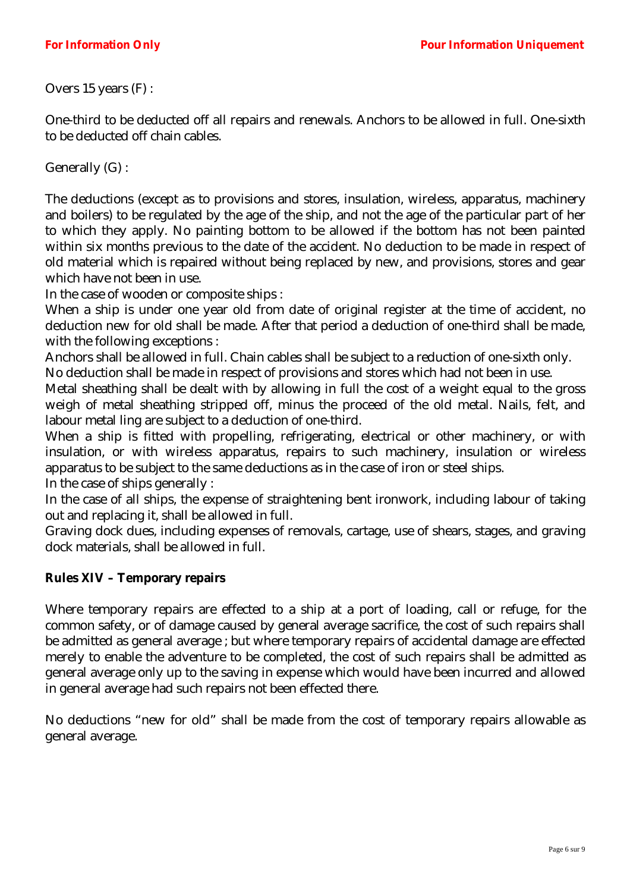Overs 15 years (F) :

One-third to be deducted off all repairs and renewals. Anchors to be allowed in full. One-sixth to be deducted off chain cables.

Generally (G) :

The deductions (except as to provisions and stores, insulation, wireless, apparatus, machinery and boilers) to be regulated by the age of the ship, and not the age of the particular part of her to which they apply. No painting bottom to be allowed if the bottom has not been painted within six months previous to the date of the accident. No deduction to be made in respect of old material which is repaired without being replaced by new, and provisions, stores and gear which have not been in use.

In the case of wooden or composite ships :

When a ship is under one year old from date of original register at the time of accident, no deduction new for old shall be made. After that period a deduction of one-third shall be made, with the following exceptions :

Anchors shall be allowed in full. Chain cables shall be subject to a reduction of one-sixth only.

No deduction shall be made in respect of provisions and stores which had not been in use.

Metal sheathing shall be dealt with by allowing in full the cost of a weight equal to the gross weigh of metal sheathing stripped off, minus the proceed of the old metal. Nails, felt, and labour metal ling are subject to a deduction of one-third.

When a ship is fitted with propelling, refrigerating, electrical or other machinery, or with insulation, or with wireless apparatus, repairs to such machinery, insulation or wireless apparatus to be subject to the same deductions as in the case of iron or steel ships.

In the case of ships generally :

In the case of all ships, the expense of straightening bent ironwork, including labour of taking out and replacing it, shall be allowed in full.

Graving dock dues, including expenses of removals, cartage, use of shears, stages, and graving dock materials, shall be allowed in full.

# **Rules XIV – Temporary repairs**

Where temporary repairs are effected to a ship at a port of loading, call or refuge, for the common safety, or of damage caused by general average sacrifice, the cost of such repairs shall be admitted as general average ; but where temporary repairs of accidental damage are effected merely to enable the adventure to be completed, the cost of such repairs shall be admitted as general average only up to the saving in expense which would have been incurred and allowed in general average had such repairs not been effected there.

No deductions "new for old" shall be made from the cost of temporary repairs allowable as general average.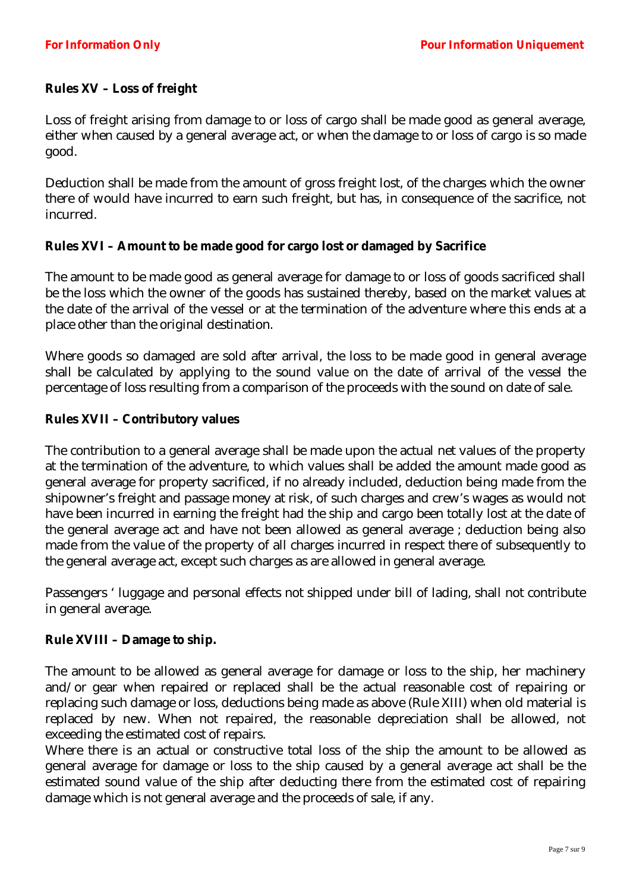## **Rules XV – Loss of freight**

Loss of freight arising from damage to or loss of cargo shall be made good as general average, either when caused by a general average act, or when the damage to or loss of cargo is so made good.

Deduction shall be made from the amount of gross freight lost, of the charges which the owner there of would have incurred to earn such freight, but has, in consequence of the sacrifice, not incurred.

## **Rules XVI – Amount to be made good for cargo lost or damaged by Sacrifice**

The amount to be made good as general average for damage to or loss of goods sacrificed shall be the loss which the owner of the goods has sustained thereby, based on the market values at the date of the arrival of the vessel or at the termination of the adventure where this ends at a place other than the original destination.

Where goods so damaged are sold after arrival, the loss to be made good in general average shall be calculated by applying to the sound value on the date of arrival of the vessel the percentage of loss resulting from a comparison of the proceeds with the sound on date of sale.

### **Rules XVII – Contributory values**

The contribution to a general average shall be made upon the actual net values of the property at the termination of the adventure, to which values shall be added the amount made good as general average for property sacrificed, if no already included, deduction being made from the shipowner's freight and passage money at risk, of such charges and crew's wages as would not have been incurred in earning the freight had the ship and cargo been totally lost at the date of the general average act and have not been allowed as general average ; deduction being also made from the value of the property of all charges incurred in respect there of subsequently to the general average act, except such charges as are allowed in general average.

Passengers ' luggage and personal effects not shipped under bill of lading, shall not contribute in general average.

# **Rule XVIII – Damage to ship.**

The amount to be allowed as general average for damage or loss to the ship, her machinery and/or gear when repaired or replaced shall be the actual reasonable cost of repairing or replacing such damage or loss, deductions being made as above (Rule XIII) when old material is replaced by new. When not repaired, the reasonable depreciation shall be allowed, not exceeding the estimated cost of repairs.

Where there is an actual or constructive total loss of the ship the amount to be allowed as general average for damage or loss to the ship caused by a general average act shall be the estimated sound value of the ship after deducting there from the estimated cost of repairing damage which is not general average and the proceeds of sale, if any.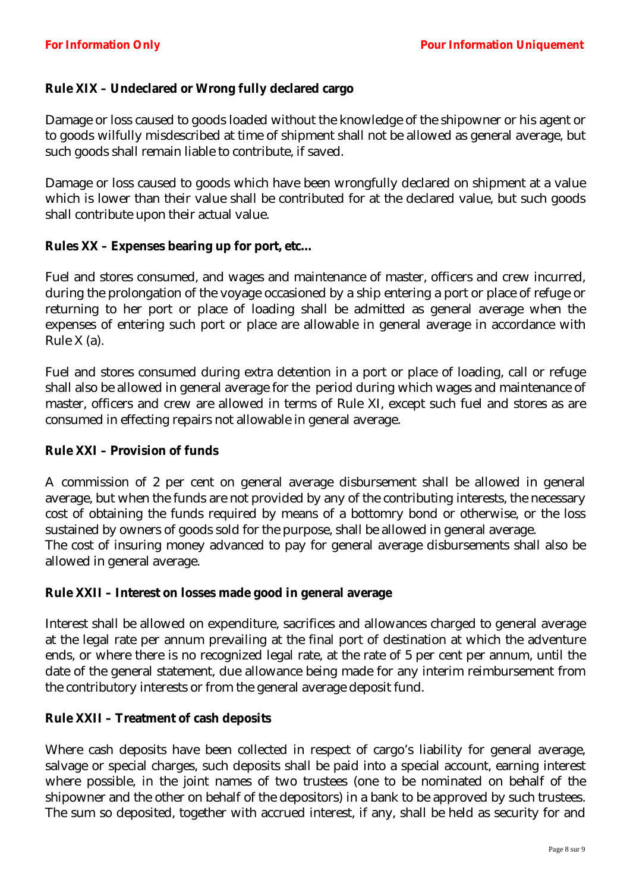## **Rule XIX – Undeclared or Wrong fully declared cargo**

Damage or loss caused to goods loaded without the knowledge of the shipowner or his agent or to goods wilfully misdescribed at time of shipment shall not be allowed as general average, but such goods shall remain liable to contribute, if saved.

Damage or loss caused to goods which have been wrongfully declared on shipment at a value which is lower than their value shall be contributed for at the declared value, but such goods shall contribute upon their actual value.

### **Rules XX – Expenses bearing up for port, etc…**

Fuel and stores consumed, and wages and maintenance of master, officers and crew incurred, during the prolongation of the voyage occasioned by a ship entering a port or place of refuge or returning to her port or place of loading shall be admitted as general average when the expenses of entering such port or place are allowable in general average in accordance with Rule X (a).

Fuel and stores consumed during extra detention in a port or place of loading, call or refuge shall also be allowed in general average for the period during which wages and maintenance of master, officers and crew are allowed in terms of Rule XI, except such fuel and stores as are consumed in effecting repairs not allowable in general average.

### **Rule XXI – Provision of funds**

A commission of 2 per cent on general average disbursement shall be allowed in general average, but when the funds are not provided by any of the contributing interests, the necessary cost of obtaining the funds required by means of a bottomry bond or otherwise, or the loss sustained by owners of goods sold for the purpose, shall be allowed in general average. The cost of insuring money advanced to pay for general average disbursements shall also be allowed in general average.

### **Rule XXII – Interest on losses made good in general average**

Interest shall be allowed on expenditure, sacrifices and allowances charged to general average at the legal rate per annum prevailing at the final port of destination at which the adventure ends, or where there is no recognized legal rate, at the rate of 5 per cent per annum, until the date of the general statement, due allowance being made for any interim reimbursement from the contributory interests or from the general average deposit fund.

### **Rule XXII – Treatment of cash deposits**

Where cash deposits have been collected in respect of cargo's liability for general average, salvage or special charges, such deposits shall be paid into a special account, earning interest where possible, in the joint names of two trustees (one to be nominated on behalf of the shipowner and the other on behalf of the depositors) in a bank to be approved by such trustees. The sum so deposited, together with accrued interest, if any, shall be held as security for and